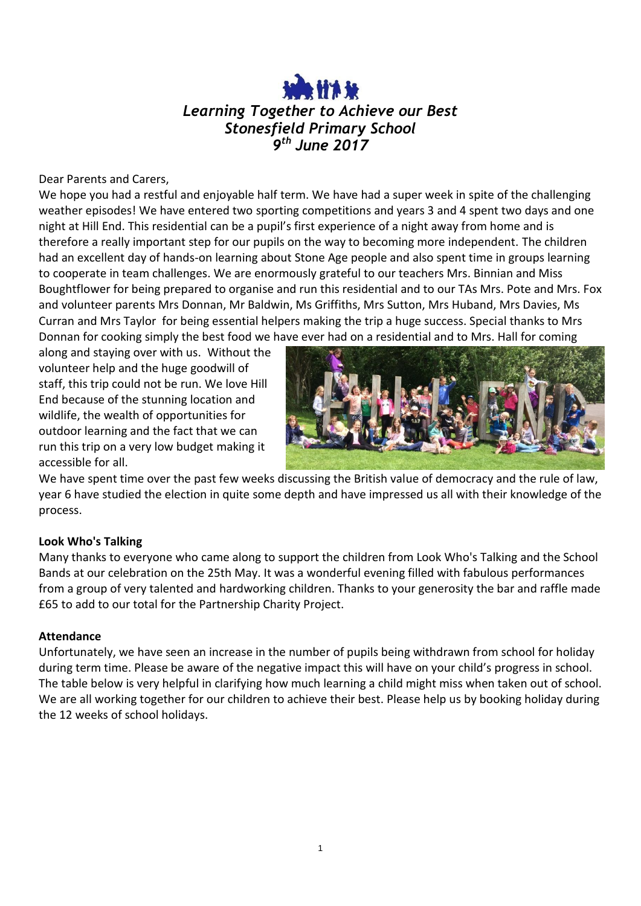# *Learning Together to Achieve our Best Stonesfield Primary School 9 th June 2017*

Dear Parents and Carers,

We hope you had a restful and enjoyable half term. We have had a super week in spite of the challenging weather episodes! We have entered two sporting competitions and years 3 and 4 spent two days and one night at Hill End. This residential can be a pupil's first experience of a night away from home and is therefore a really important step for our pupils on the way to becoming more independent. The children had an excellent day of hands-on learning about Stone Age people and also spent time in groups learning to cooperate in team challenges. We are enormously grateful to our teachers Mrs. Binnian and Miss Boughtflower for being prepared to organise and run this residential and to our TAs Mrs. Pote and Mrs. Fox and volunteer parents Mrs Donnan, Mr Baldwin, Ms Griffiths, Mrs Sutton, Mrs Huband, Mrs Davies, Ms Curran and Mrs Taylor for being essential helpers making the trip a huge success. Special thanks to Mrs Donnan for cooking simply the best food we have ever had on a residential and to Mrs. Hall for coming

along and staying over with us. Without the volunteer help and the huge goodwill of staff, this trip could not be run. We love Hill End because of the stunning location and wildlife, the wealth of opportunities for outdoor learning and the fact that we can run this trip on a very low budget making it accessible for all.



We have spent time over the past few weeks discussing the British value of democracy and the rule of law, year 6 have studied the election in quite some depth and have impressed us all with their knowledge of the process.

# **Look Who's Talking**

Many thanks to everyone who came along to support the children from Look Who's Talking and the School Bands at our celebration on the 25th May. It was a wonderful evening filled with fabulous performances from a group of very talented and hardworking children. Thanks to your generosity the bar and raffle made £65 to add to our total for the Partnership Charity Project.

#### **Attendance**

Unfortunately, we have seen an increase in the number of pupils being withdrawn from school for holiday during term time. Please be aware of the negative impact this will have on your child's progress in school. The table below is very helpful in clarifying how much learning a child might miss when taken out of school. We are all working together for our children to achieve their best. Please help us by booking holiday during the 12 weeks of school holidays.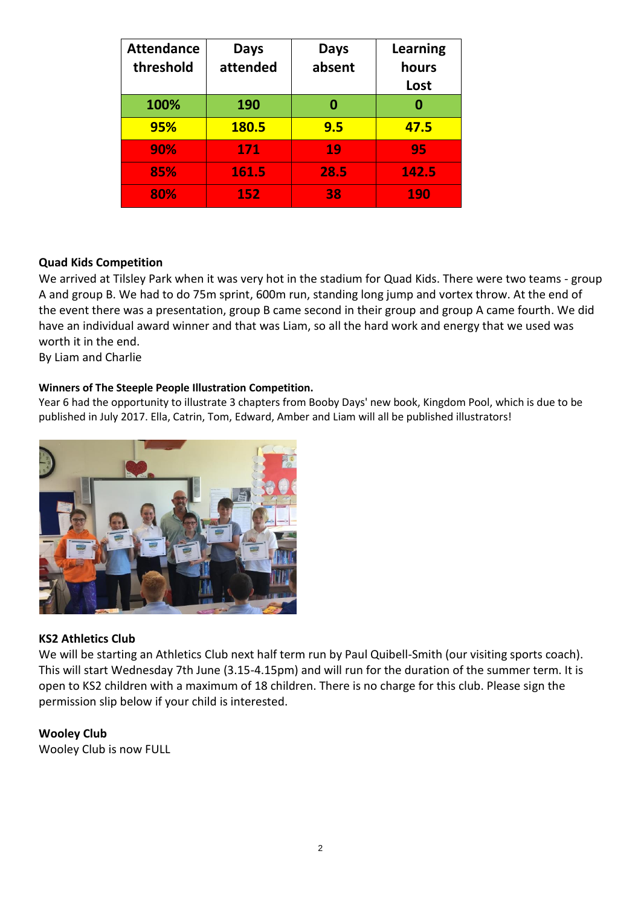| <b>Attendance</b><br>threshold | <b>Days</b><br>attended | <b>Days</b><br>absent | <b>Learning</b><br>hours<br>Lost |
|--------------------------------|-------------------------|-----------------------|----------------------------------|
| 100%                           | 190                     | 0                     |                                  |
| 95%                            | 180.5                   | 9.5                   | 47.5                             |
| 90%                            | 171                     | 19                    | 95                               |
| 85%                            | 161.5                   | 28.5                  | 142.5                            |
| 80%                            | 152                     | 38                    | 190                              |

# **Quad Kids Competition**

We arrived at Tilsley Park when it was very hot in the stadium for Quad Kids. There were two teams - group A and group B. We had to do 75m sprint, 600m run, standing long jump and vortex throw. At the end of the event there was a presentation, group B came second in their group and group A came fourth. We did have an individual award winner and that was Liam, so all the hard work and energy that we used was worth it in the end.

By Liam and Charlie

#### **Winners of The Steeple People Illustration Competition.**

Year 6 had the opportunity to illustrate 3 chapters from Booby Days' new book, Kingdom Pool, which is due to be published in July 2017. Ella, Catrin, Tom, Edward, Amber and Liam will all be published illustrators!



#### **KS2 Athletics Club**

We will be starting an Athletics Club next half term run by Paul Quibell-Smith (our visiting sports coach). This will start Wednesday 7th June (3.15-4.15pm) and will run for the duration of the summer term. It is open to KS2 children with a maximum of 18 children. There is no charge for this club. Please sign the permission slip below if your child is interested.

#### **Wooley Club**

Wooley Club is now FULL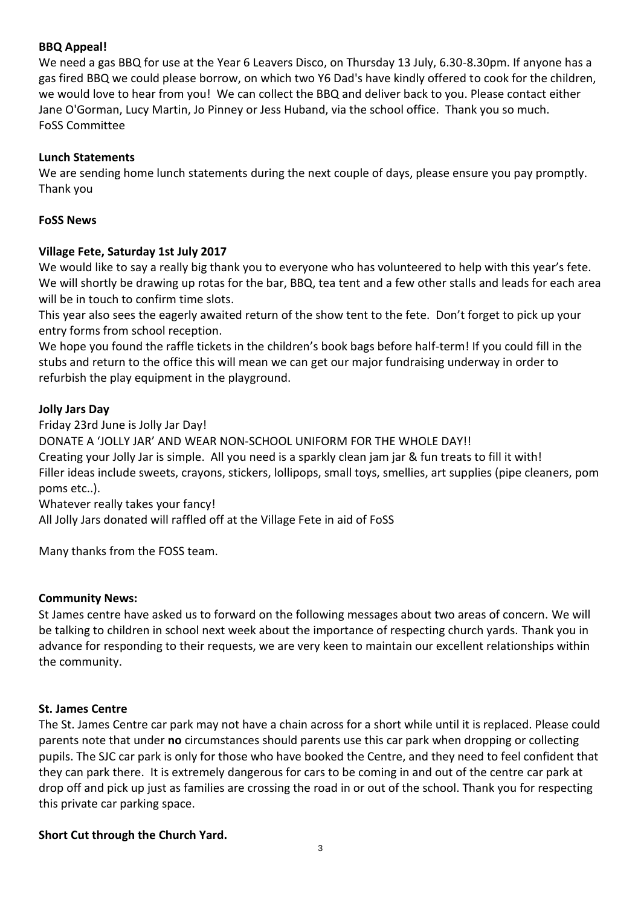# **BBQ Appeal!**

We need a gas BBQ for use at the Year 6 Leavers Disco, on Thursday 13 July, 6.30-8.30pm. If anyone has a gas fired BBQ we could please borrow, on which two Y6 Dad's have kindly offered to cook for the children, we would love to hear from you! We can collect the BBQ and deliver back to you. Please contact either Jane O'Gorman, Lucy Martin, Jo Pinney or Jess Huband, via the school office. Thank you so much. FoSS Committee

### **Lunch Statements**

We are sending home lunch statements during the next couple of days, please ensure you pay promptly. Thank you

### **FoSS News**

# **Village Fete, Saturday 1st July 2017**

We would like to say a really big thank you to everyone who has volunteered to help with this year's fete. We will shortly be drawing up rotas for the bar, BBQ, tea tent and a few other stalls and leads for each area will be in touch to confirm time slots.

This year also sees the eagerly awaited return of the show tent to the fete. Don't forget to pick up your entry forms from school reception.

We hope you found the raffle tickets in the children's book bags before half-term! If you could fill in the stubs and return to the office this will mean we can get our major fundraising underway in order to refurbish the play equipment in the playground.

# **Jolly Jars Day**

Friday 23rd June is Jolly Jar Day! DONATE A 'JOLLY JAR' AND WEAR NON-SCHOOL UNIFORM FOR THE WHOLE DAY!! Creating your Jolly Jar is simple. All you need is a sparkly clean jam jar & fun treats to fill it with! Filler ideas include sweets, crayons, stickers, lollipops, small toys, smellies, art supplies (pipe cleaners, pom poms etc..). Whatever really takes your fancy!

All Jolly Jars donated will raffled off at the Village Fete in aid of FoSS

Many thanks from the FOSS team.

#### **Community News:**

St James centre have asked us to forward on the following messages about two areas of concern. We will be talking to children in school next week about the importance of respecting church yards. Thank you in advance for responding to their requests, we are very keen to maintain our excellent relationships within the community.

#### **St. James Centre**

The St. James Centre car park may not have a chain across for a short while until it is replaced. Please could parents note that under **no** circumstances should parents use this car park when dropping or collecting pupils. The SJC car park is only for those who have booked the Centre, and they need to feel confident that they can park there. It is extremely dangerous for cars to be coming in and out of the centre car park at drop off and pick up just as families are crossing the road in or out of the school. Thank you for respecting this private car parking space.

#### **Short Cut through the Church Yard.**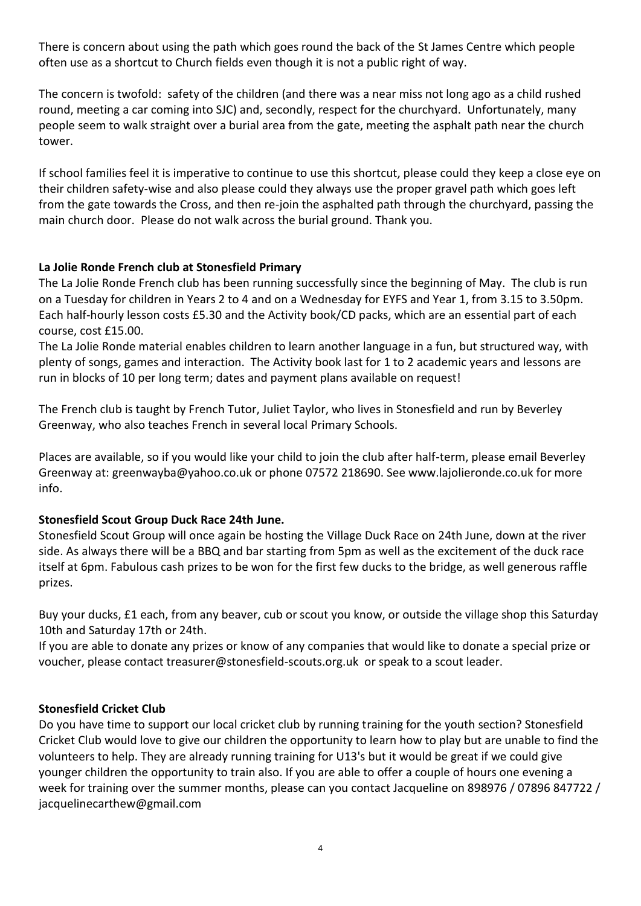There is concern about using the path which goes round the back of the St James Centre which people often use as a shortcut to Church fields even though it is not a public right of way.

The concern is twofold: safety of the children (and there was a near miss not long ago as a child rushed round, meeting a car coming into SJC) and, secondly, respect for the churchyard. Unfortunately, many people seem to walk straight over a burial area from the gate, meeting the asphalt path near the church tower.

If school families feel it is imperative to continue to use this shortcut, please could they keep a close eye on their children safety-wise and also please could they always use the proper gravel path which goes left from the gate towards the Cross, and then re-join the asphalted path through the churchyard, passing the main church door. Please do not walk across the burial ground. Thank you.

# **La Jolie Ronde French club at Stonesfield Primary**

The La Jolie Ronde French club has been running successfully since the beginning of May. The club is run on a Tuesday for children in Years 2 to 4 and on a Wednesday for EYFS and Year 1, from 3.15 to 3.50pm. Each half-hourly lesson costs £5.30 and the Activity book/CD packs, which are an essential part of each course, cost £15.00.

The La Jolie Ronde material enables children to learn another language in a fun, but structured way, with plenty of songs, games and interaction. The Activity book last for 1 to 2 academic years and lessons are run in blocks of 10 per long term; dates and payment plans available on request!

The French club is taught by French Tutor, Juliet Taylor, who lives in Stonesfield and run by Beverley Greenway, who also teaches French in several local Primary Schools.

Places are available, so if you would like your child to join the club after half-term, please email Beverley Greenway at: greenwayba@yahoo.co.uk or phone 07572 218690. See www.lajolieronde.co.uk for more info.

# **Stonesfield Scout Group Duck Race 24th June.**

Stonesfield Scout Group will once again be hosting the Village Duck Race on 24th June, down at the river side. As always there will be a BBQ and bar starting from 5pm as well as the excitement of the duck race itself at 6pm. Fabulous cash prizes to be won for the first few ducks to the bridge, as well generous raffle prizes.

Buy your ducks, £1 each, from any beaver, cub or scout you know, or outside the village shop this Saturday 10th and Saturday 17th or 24th.

If you are able to donate any prizes or know of any companies that would like to donate a special prize or voucher, please contact treasurer@stonesfield-scouts.org.uk or speak to a scout leader.

# **Stonesfield Cricket Club**

Do you have time to support our local cricket club by running training for the youth section? Stonesfield Cricket Club would love to give our children the opportunity to learn how to play but are unable to find the volunteers to help. They are already running training for U13's but it would be great if we could give younger children the opportunity to train also. If you are able to offer a couple of hours one evening a week for training over the summer months, please can you contact Jacqueline on 898976 / 07896 847722 / jacquelinecarthew@gmail.com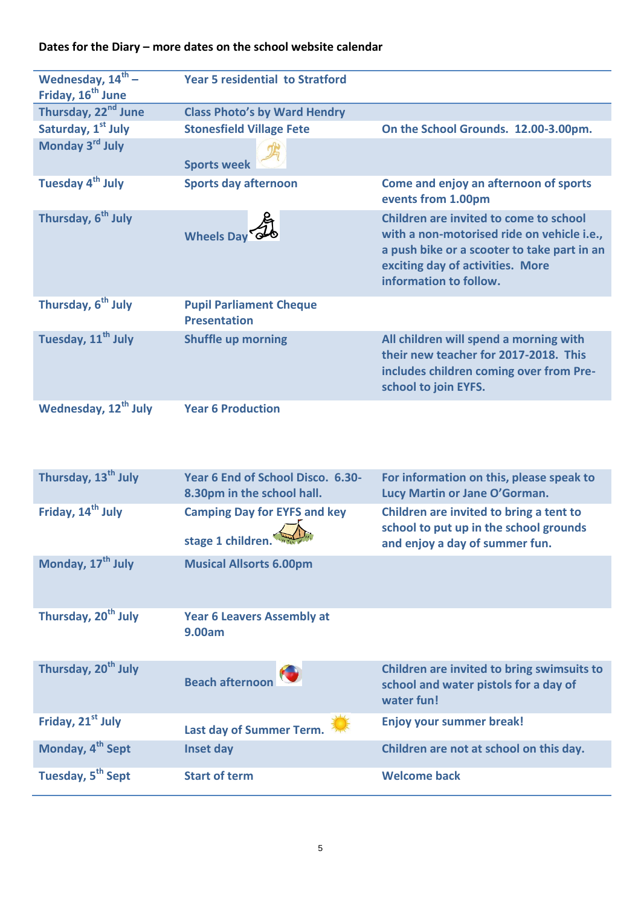# **Dates for the Diary – more dates on the school website calendar**

| Wednesday, $14^{th}$ –<br>Friday, 16 <sup>th</sup> June | <b>Year 5 residential to Stratford</b>                          |                                                                                                                                                                                                   |
|---------------------------------------------------------|-----------------------------------------------------------------|---------------------------------------------------------------------------------------------------------------------------------------------------------------------------------------------------|
| Thursday, 22 <sup>nd</sup> June                         | <b>Class Photo's by Ward Hendry</b>                             |                                                                                                                                                                                                   |
| Saturday, 1 <sup>st</sup> July                          | <b>Stonesfield Village Fete</b>                                 | On the School Grounds. 12.00-3.00pm.                                                                                                                                                              |
| Monday 3rd July                                         | <b>Sports week</b>                                              |                                                                                                                                                                                                   |
| Tuesday 4 <sup>th</sup> July                            | <b>Sports day afternoon</b>                                     | Come and enjoy an afternoon of sports<br>events from 1.00pm                                                                                                                                       |
| Thursday, 6 <sup>th</sup> July                          | <b>Wheels Day</b>                                               | Children are invited to come to school<br>with a non-motorised ride on vehicle i.e.,<br>a push bike or a scooter to take part in an<br>exciting day of activities. More<br>information to follow. |
| Thursday, 6 <sup>th</sup> July                          | <b>Pupil Parliament Cheque</b><br><b>Presentation</b>           |                                                                                                                                                                                                   |
| Tuesday, 11 <sup>th</sup> July                          | <b>Shuffle up morning</b>                                       | All children will spend a morning with<br>their new teacher for 2017-2018. This<br>includes children coming over from Pre-<br>school to join EYFS.                                                |
| Wednesday, 12 <sup>th</sup> July                        | <b>Year 6 Production</b>                                        |                                                                                                                                                                                                   |
| Thursday, 13 <sup>th</sup> July                         | Year 6 End of School Disco. 6.30-<br>8.30pm in the school hall. | For information on this, please speak to<br>Lucy Martin or Jane O'Gorman.                                                                                                                         |
| Friday, 14 <sup>th</sup> July                           | <b>Camping Day for EYFS and key</b><br>stage 1 children.        | Children are invited to bring a tent to<br>school to put up in the school grounds<br>and enjoy a day of summer fun.                                                                               |
| Monday, 17 <sup>th</sup> July                           | <b>Musical Allsorts 6.00pm</b>                                  |                                                                                                                                                                                                   |
| Thursday, 20 <sup>th</sup> July                         | <b>Year 6 Leavers Assembly at</b><br>9.00am                     |                                                                                                                                                                                                   |

| Thursday, 20 <sup>th</sup> July | Beach afternoon          | Children are invited to bring swimsuits to<br>school and water pistols for a day of<br>water fun! |
|---------------------------------|--------------------------|---------------------------------------------------------------------------------------------------|
| Friday, 21 <sup>st</sup> July   | Last day of Summer Term. | <b>Enjoy your summer break!</b>                                                                   |
| Monday, 4 <sup>th</sup> Sept    | Inset day                | Children are not at school on this day.                                                           |
| Tuesday, 5 <sup>th</sup> Sept   | <b>Start of term</b>     | <b>Welcome back</b>                                                                               |